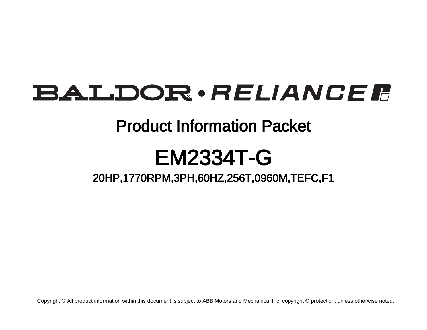# BALDOR · RELIANCE F

## Product Information Packet

# EM2334T-G

20HP,1770RPM,3PH,60HZ,256T,0960M,TEFC,F1

Copyright © All product information within this document is subject to ABB Motors and Mechanical Inc. copyright © protection, unless otherwise noted.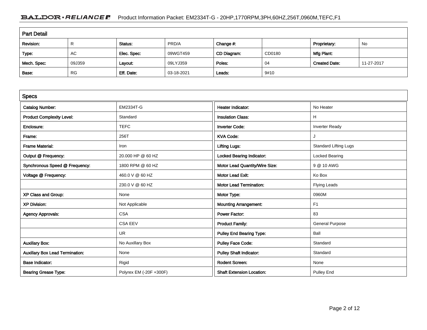### BALDOR · RELIANCE F Product Information Packet: EM2334T-G - 20HP,1770RPM,3PH,60HZ,256T,0960M,TEFC,F1

| <b>Part Detail</b> |           |             |            |             |        |                      |            |  |
|--------------------|-----------|-------------|------------|-------------|--------|----------------------|------------|--|
| Revision:          | R         | Status:     | PRD/A      | Change #:   |        | Proprietary:         | No         |  |
| Type:              | AC        | Elec. Spec: | 09WGT459   | CD Diagram: | CD0180 | Mfg Plant:           |            |  |
| Mech. Spec:        | 09J359    | Layout:     | 09LYJ359   | Poles:      | 04     | <b>Created Date:</b> | 11-27-2017 |  |
| Base:              | <b>RG</b> | Eff. Date:  | 03-18-2021 | Leads:      | 9#10   |                      |            |  |

| <b>Specs</b>                           |                         |                                  |                              |
|----------------------------------------|-------------------------|----------------------------------|------------------------------|
| <b>Catalog Number:</b>                 | <b>EM2334T-G</b>        | <b>Heater Indicator:</b>         | No Heater                    |
| <b>Product Complexity Level:</b>       | Standard                | <b>Insulation Class:</b>         | н                            |
| Enclosure:                             | <b>TEFC</b>             | <b>Inverter Code:</b>            | <b>Inverter Ready</b>        |
| Frame:                                 | 256T                    | <b>KVA Code:</b>                 |                              |
| <b>Frame Material:</b>                 | Iron                    | <b>Lifting Lugs:</b>             | <b>Standard Lifting Lugs</b> |
| Output @ Frequency:                    | 20.000 HP @ 60 HZ       | <b>Locked Bearing Indicator:</b> | Locked Bearing               |
| Synchronous Speed @ Frequency:         | 1800 RPM @ 60 HZ        | Motor Lead Quantity/Wire Size:   | 9 @ 10 AWG                   |
| Voltage @ Frequency:                   | 460.0 V @ 60 HZ         | <b>Motor Lead Exit:</b>          | Ko Box                       |
|                                        | 230.0 V @ 60 HZ         | <b>Motor Lead Termination:</b>   | <b>Flying Leads</b>          |
| XP Class and Group:                    | None                    | Motor Type:                      | 0960M                        |
| <b>XP Division:</b>                    | Not Applicable          | <b>Mounting Arrangement:</b>     | F <sub>1</sub>               |
| <b>Agency Approvals:</b>               | <b>CSA</b>              | <b>Power Factor:</b>             | 83                           |
|                                        | <b>CSA EEV</b>          | <b>Product Family:</b>           | <b>General Purpose</b>       |
|                                        | <b>UR</b>               | <b>Pulley End Bearing Type:</b>  | Ball                         |
| <b>Auxillary Box:</b>                  | No Auxillary Box        | <b>Pulley Face Code:</b>         | Standard                     |
| <b>Auxillary Box Lead Termination:</b> | None                    | <b>Pulley Shaft Indicator:</b>   | Standard                     |
| <b>Base Indicator:</b>                 | Rigid                   | <b>Rodent Screen:</b>            | None                         |
| <b>Bearing Grease Type:</b>            | Polyrex EM (-20F +300F) | <b>Shaft Extension Location:</b> | <b>Pulley End</b>            |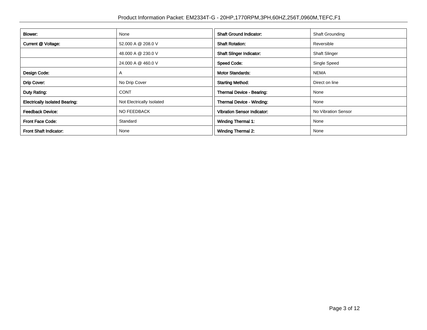| Blower:                               | None                      | <b>Shaft Ground Indicator:</b>     | <b>Shaft Grounding</b> |  |
|---------------------------------------|---------------------------|------------------------------------|------------------------|--|
| Current @ Voltage:                    | 52.000 A @ 208.0 V        | <b>Shaft Rotation:</b>             | Reversible             |  |
|                                       | 48.000 A @ 230.0 V        | <b>Shaft Slinger Indicator:</b>    | <b>Shaft Slinger</b>   |  |
|                                       | 24.000 A @ 460.0 V        | <b>Speed Code:</b>                 | Single Speed           |  |
| Design Code:                          | A                         | <b>Motor Standards:</b>            | <b>NEMA</b>            |  |
| Drip Cover:                           | No Drip Cover             | <b>Starting Method:</b>            | Direct on line         |  |
| Duty Rating:                          | <b>CONT</b>               | Thermal Device - Bearing:          | None                   |  |
| <b>Electrically Isolated Bearing:</b> | Not Electrically Isolated | Thermal Device - Winding:          | None                   |  |
| <b>Feedback Device:</b>               | NO FEEDBACK               | <b>Vibration Sensor Indicator:</b> | No Vibration Sensor    |  |
| <b>Front Face Code:</b>               | Standard                  | <b>Winding Thermal 1:</b>          | None                   |  |
| <b>Front Shaft Indicator:</b>         | None                      | <b>Winding Thermal 2:</b>          | None                   |  |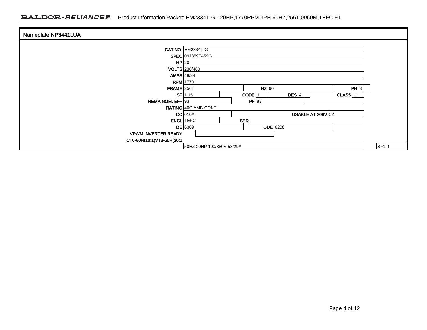### BALDOR · RELIANCE F Product Information Packet: EM2334T-G - 20HP,1770RPM,3PH,60HZ,256T,0960M,TEFC,F1

| Nameplate NP3441LUA        |                                                    |       |
|----------------------------|----------------------------------------------------|-------|
|                            |                                                    |       |
|                            | <b>CAT.NO. EM2334T-G</b>                           |       |
|                            | SPEC 09J359T459G1                                  |       |
|                            | $HP$  20                                           |       |
|                            | VOLTS 230/460                                      |       |
|                            | AMPS $48/24$                                       |       |
|                            | <b>RPM</b> 1770                                    |       |
| $FRAME$ 256T               | $HZ$ 60<br>PH 3                                    |       |
|                            | DES A<br>$SF$ 1.15<br>CODE <sup>J</sup><br>CLASS H |       |
| NEMA NOM. EFF 93           | PF 83                                              |       |
|                            | RATING 40C AMB-CONT                                |       |
|                            | USABLE AT 208V $52$<br>$CC$ 010A                   |       |
|                            | SER<br><b>ENCL</b> TEFC                            |       |
|                            | $DE$ 6309<br><b>ODE</b> 6208                       |       |
| <b>VPWM INVERTER READY</b> |                                                    |       |
| CT6-60H(10:1)VT3-60H(20:1  |                                                    |       |
|                            | 50HZ 20HP 190/380V 58/29A                          | SF1.0 |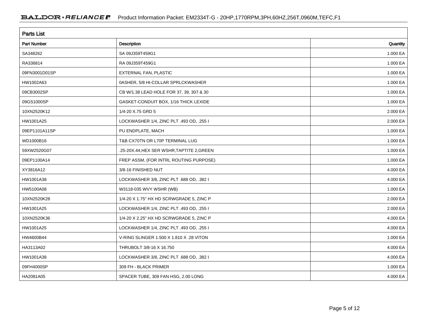| <b>Parts List</b>  |                                            |          |  |  |  |
|--------------------|--------------------------------------------|----------|--|--|--|
| <b>Part Number</b> | Description                                | Quantity |  |  |  |
| SA348262           | SA 09J359T459G1                            | 1.000 EA |  |  |  |
| RA336814           | RA 09J359T459G1                            | 1.000 EA |  |  |  |
| 09FN3001D01SP      | EXTERNAL FAN, PLASTIC                      | 1.000 EA |  |  |  |
| HW1002A63          | 0ASHER, 5/8 HI-COLLAR SPRLCKWASHER         | 1.000 EA |  |  |  |
| 09CB3002SP         | CB W/1.38 LEAD HOLE FOR 37, 39, 307 & 30   | 1.000 EA |  |  |  |
| 09GS1000SP         | GASKET-CONDUIT BOX, 1/16 THICK LEXIDE      | 1.000 EA |  |  |  |
| 10XN2520K12        | 1/4-20 X.75 GRD 5                          | 2.000 EA |  |  |  |
| HW1001A25          | LOCKWASHER 1/4, ZINC PLT .493 OD, .255 I   | 2.000 EA |  |  |  |
| 09EP1101A11SP      | PU ENDPLATE, MACH                          | 1.000 EA |  |  |  |
| WD1000B16          | T&B CX70TN OR L70P TERMINAL LUG            | 1.000 EA |  |  |  |
| 59XW2520G07        | .25-20X.44, HEX SER WSHR, TAPTITE 2, GREEN | 1.000 EA |  |  |  |
| 09EP1100A14        | FREP ASSM, (FOR INTRL ROUTING PURPOSE)     | 1.000 EA |  |  |  |
| XY3816A12          | 3/8-16 FINISHED NUT                        | 4.000 EA |  |  |  |
| HW1001A38          | LOCKWASHER 3/8, ZINC PLT .688 OD, .382 I   | 4.000 EA |  |  |  |
| HW5100A08          | W3118-035 WVY WSHR (WB)                    | 1.000 EA |  |  |  |
| 10XN2520K28        | 1/4-20 X 1.75" HX HD SCRWGRADE 5, ZINC P   | 2.000 EA |  |  |  |
| HW1001A25          | LOCKWASHER 1/4, ZINC PLT .493 OD, .255 I   | 2.000 EA |  |  |  |
| 10XN2520K36        | 1/4-20 X 2.25" HX HD SCRWGRADE 5, ZINC P   | 4.000 EA |  |  |  |
| HW1001A25          | LOCKWASHER 1/4, ZINC PLT .493 OD, .255 I   | 4.000 EA |  |  |  |
| HW4600B44          | V-RING SLINGER 1.500 X 1.810 X .28 VITON   | 1.000 EA |  |  |  |
| HA3113A02          | THRUBOLT 3/8-16 X 16.750                   | 4.000 EA |  |  |  |
| HW1001A38          | LOCKWASHER 3/8, ZINC PLT .688 OD, .382 I   | 4.000 EA |  |  |  |
| 09FH4000SP         | 309 FH - BLACK PRIMER                      | 1.000 EA |  |  |  |
| HA2081A05          | SPACER TUBE, 309 FAN HSG, 2.00 LONG        | 4.000 EA |  |  |  |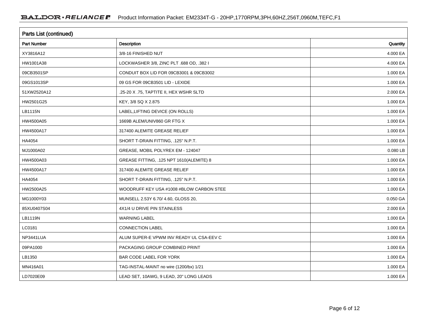| <b>Parts List (continued)</b> |                                          |          |  |  |  |
|-------------------------------|------------------------------------------|----------|--|--|--|
| <b>Part Number</b>            | Description                              | Quantity |  |  |  |
| XY3816A12                     | 3/8-16 FINISHED NUT                      | 4.000 EA |  |  |  |
| HW1001A38                     | LOCKWASHER 3/8, ZINC PLT .688 OD, .382 I | 4.000 EA |  |  |  |
| 09CB3501SP                    | CONDUIT BOX LID FOR 09CB3001 & 09CB3002  | 1.000 EA |  |  |  |
| 09GS1013SP                    | 09 GS FOR 09CB3501 LID - LEXIDE          | 1.000 EA |  |  |  |
| 51XW2520A12                   | .25-20 X .75, TAPTITE II, HEX WSHR SLTD  | 2.000 EA |  |  |  |
| HW2501G25                     | KEY, 3/8 SQ X 2.875                      | 1.000 EA |  |  |  |
| LB1115N                       | LABEL, LIFTING DEVICE (ON ROLLS)         | 1.000 EA |  |  |  |
| HW4500A05                     | 1669B ALEM/UNIV860 GR FTG X              | 1.000 EA |  |  |  |
| HW4500A17                     | 317400 ALEMITE GREASE RELIEF             | 1.000 EA |  |  |  |
| HA4054                        | SHORT T-DRAIN FITTING, .125" N.P.T.      | 1.000 EA |  |  |  |
| MJ1000A02                     | GREASE, MOBIL POLYREX EM - 124047        | 0.080 LB |  |  |  |
| HW4500A03                     | GREASE FITTING, .125 NPT 1610(ALEMITE) 8 | 1.000 EA |  |  |  |
| HW4500A17                     | 317400 ALEMITE GREASE RELIEF             | 1.000 EA |  |  |  |
| HA4054                        | SHORT T-DRAIN FITTING, .125" N.P.T.      | 1.000 EA |  |  |  |
| HW2500A25                     | WOODRUFF KEY USA #1008 #BLOW CARBON STEE | 1.000 EA |  |  |  |
| MG1000Y03                     | MUNSELL 2.53Y 6.70/ 4.60, GLOSS 20,      | 0.050 GA |  |  |  |
| 85XU0407S04                   | 4X1/4 U DRIVE PIN STAINLESS              | 2.000 EA |  |  |  |
| LB1119N                       | <b>WARNING LABEL</b>                     | 1.000 EA |  |  |  |
| LC0181                        | CONNECTION LABEL                         | 1.000 EA |  |  |  |
| NP3441LUA                     | ALUM SUPER-E VPWM INV READY UL CSA-EEV C | 1.000 EA |  |  |  |
| 09PA1000                      | PACKAGING GROUP COMBINED PRINT           | 1.000 EA |  |  |  |
| LB1350                        | BAR CODE LABEL FOR YORK                  | 1.000 EA |  |  |  |
| MN416A01                      | TAG-INSTAL-MAINT no wire (1200/bx) 1/21  | 1.000 EA |  |  |  |
| LD7020E09                     | LEAD SET, 10AWG, 9 LEAD, 20" LONG LEADS  | 1.000 EA |  |  |  |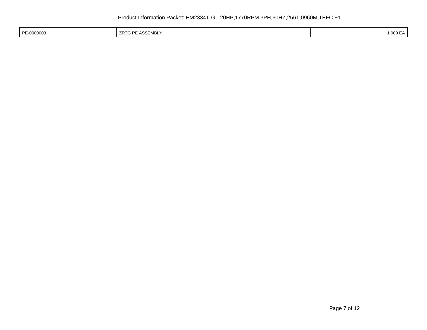| PE-0000003 | <b>ZRTG PE ASSEMBLY</b> | .000EA<br>. |
|------------|-------------------------|-------------|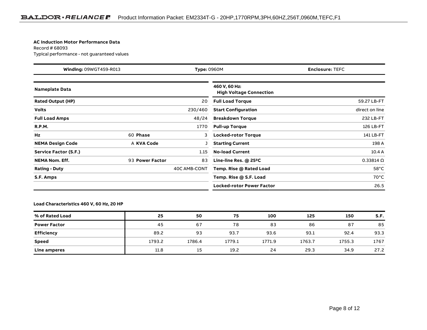#### **AC Induction Motor Performance Data**

Record # 68093Typical performance - not guaranteed values

| <b>Winding: 09WGT459-R013</b><br><b>Type: 0960M</b> |                 |              | <b>Enclosure: TEFC</b>                          |                  |  |
|-----------------------------------------------------|-----------------|--------------|-------------------------------------------------|------------------|--|
| <b>Nameplate Data</b>                               |                 |              | 460 V, 60 Hz:<br><b>High Voltage Connection</b> |                  |  |
| <b>Rated Output (HP)</b>                            |                 | 20           | <b>Full Load Torque</b>                         | 59.27 LB-FT      |  |
| <b>Volts</b>                                        |                 | 230/460      | <b>Start Configuration</b>                      | direct on line   |  |
| <b>Full Load Amps</b>                               |                 | 48/24        | <b>Breakdown Torque</b>                         | 232 LB-FT        |  |
| <b>R.P.M.</b>                                       |                 | 1770         | <b>Pull-up Torque</b>                           | 126 LB-FT        |  |
| Hz                                                  | 60 Phase        | 3            | <b>Locked-rotor Torque</b>                      | 141 LB-FT        |  |
| <b>NEMA Design Code</b>                             | A KVA Code      |              | <b>Starting Current</b>                         | 198 A            |  |
| Service Factor (S.F.)                               |                 | 1.15         | <b>No-load Current</b>                          | 10.4 A           |  |
| <b>NEMA Nom. Eff.</b>                               | 93 Power Factor | 83           | Line-line Res. $@$ 25 <sup>o</sup> C            | $0.33814 \Omega$ |  |
| <b>Rating - Duty</b>                                |                 | 40C AMB-CONT | Temp. Rise @ Rated Load                         | $58^{\circ}$ C   |  |
| S.F. Amps                                           |                 |              | Temp. Rise @ S.F. Load                          | $70^{\circ}$ C   |  |
|                                                     |                 |              | <b>Locked-rotor Power Factor</b>                | 26.5             |  |

#### **Load Characteristics 460 V, 60 Hz, 20 HP**

| % of Rated Load     | 25     | 50     | 75     | 100    | 125    | 150    | S.F. |
|---------------------|--------|--------|--------|--------|--------|--------|------|
| <b>Power Factor</b> | 45     | 67     | 78     | 83     | 86     | 87     | 85   |
| Efficiency          | 89.2   | 93     | 93.7   | 93.6   | 93.1   | 92.4   | 93.3 |
| <b>Speed</b>        | 1793.2 | 1786.4 | 1779.1 | 1771.9 | 1763.7 | 1755.3 | 1767 |
| Line amperes        | 11.8   | 15     | 19.2   | 24     | 29.3   | 34.9   | 27.2 |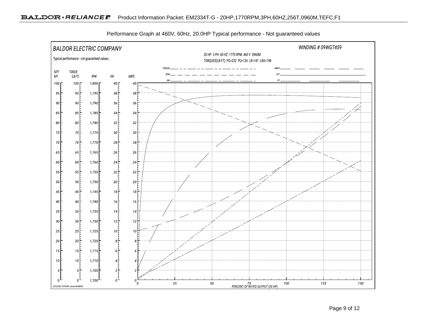

Performance Graph at 460V, 60Hz, 20.0HP Typical performance - Not guaranteed values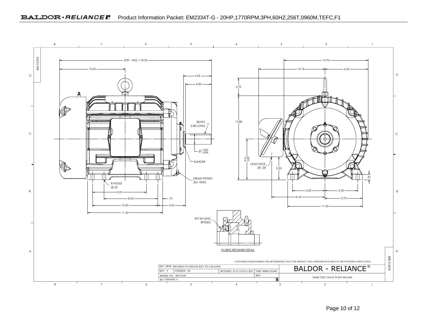

Page 10 of 12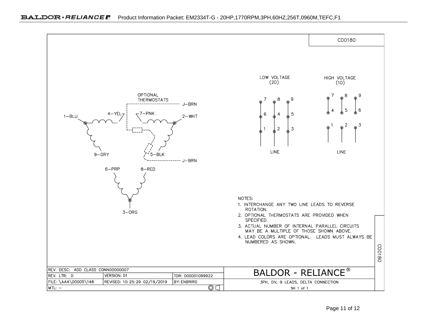